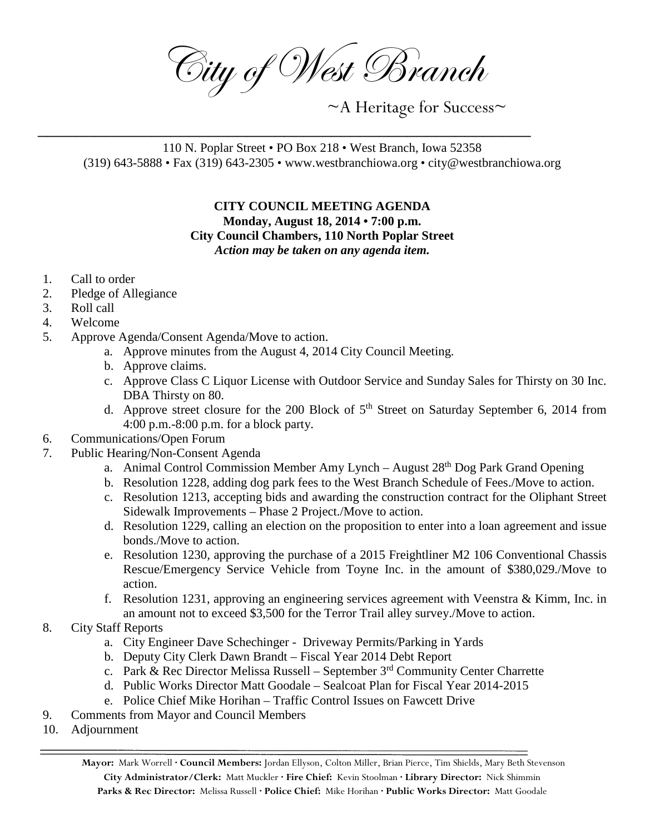City of West Branch

 $~\sim$ A Heritage for Success $\sim$ 

110 N. Poplar Street • PO Box 218 • West Branch, Iowa 52358 (319) 643-5888 • Fax (319) 643-2305 • www.westbranchiowa.org • city@westbranchiowa.org

\_\_\_\_\_\_\_\_\_\_\_\_\_\_\_\_\_\_\_\_\_\_\_\_\_\_\_\_\_\_\_\_\_\_\_\_\_\_\_\_\_\_\_\_\_\_\_\_\_\_\_\_

## **CITY COUNCIL MEETING AGENDA Monday, August 18, 2014 • 7:00 p.m. City Council Chambers, 110 North Poplar Street** *Action may be taken on any agenda item.*

- 1. Call to order
- 2. Pledge of Allegiance
- 3. Roll call
- 4. Welcome
- 5. Approve Agenda/Consent Agenda/Move to action.
	- a. Approve minutes from the August 4, 2014 City Council Meeting.
	- b. Approve claims.
	- c. Approve Class C Liquor License with Outdoor Service and Sunday Sales for Thirsty on 30 Inc. DBA Thirsty on 80.
	- d. Approve street closure for the 200 Block of  $5<sup>th</sup>$  Street on Saturday September 6, 2014 from 4:00 p.m.-8:00 p.m. for a block party.
- 6. Communications/Open Forum
- 7. Public Hearing/Non-Consent Agenda
	- a. Animal Control Commission Member Amy Lynch August 28<sup>th</sup> Dog Park Grand Opening
	- b. Resolution 1228, adding dog park fees to the West Branch Schedule of Fees./Move to action.
	- c. Resolution 1213, accepting bids and awarding the construction contract for the Oliphant Street Sidewalk Improvements – Phase 2 Project./Move to action.
	- d. Resolution 1229, calling an election on the proposition to enter into a loan agreement and issue bonds./Move to action.
	- e. Resolution 1230, approving the purchase of a 2015 Freightliner M2 106 Conventional Chassis Rescue/Emergency Service Vehicle from Toyne Inc. in the amount of \$380,029./Move to action.
	- f. Resolution 1231, approving an engineering services agreement with Veenstra & Kimm, Inc. in an amount not to exceed \$3,500 for the Terror Trail alley survey./Move to action.
- 8. City Staff Reports
	- a. City Engineer Dave Schechinger Driveway Permits/Parking in Yards
	- b. Deputy City Clerk Dawn Brandt Fiscal Year 2014 Debt Report
	- c. Park & Rec Director Melissa Russell September  $3<sup>rd</sup>$  Community Center Charrette
	- d. Public Works Director Matt Goodale Sealcoat Plan for Fiscal Year 2014-2015
	- e. Police Chief Mike Horihan Traffic Control Issues on Fawcett Drive
- 9. Comments from Mayor and Council Members
- 10. Adjournment

**Mayor:** Mark Worrell **· Council Members:** Jordan Ellyson, Colton Miller, Brian Pierce, Tim Shields, Mary Beth Stevenson **City Administrator/Clerk:** Matt Muckler **· Fire Chief:** Kevin Stoolman **· Library Director:** Nick Shimmin **Parks & Rec Director:** Melissa Russell **· Police Chief:** Mike Horihan **· Public Works Director:** Matt Goodale